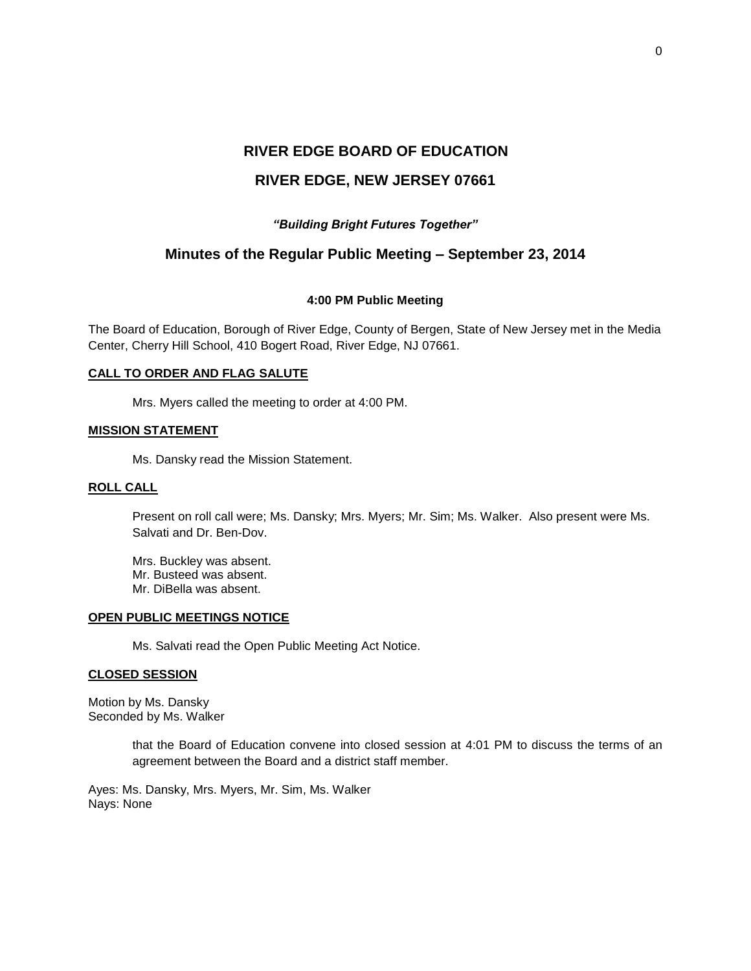# **RIVER EDGE BOARD OF EDUCATION**

# **RIVER EDGE, NEW JERSEY 07661**

# *"Building Bright Futures Together"*

# **Minutes of the Regular Public Meeting – September 23, 2014**

## **4:00 PM Public Meeting**

The Board of Education, Borough of River Edge, County of Bergen, State of New Jersey met in the Media Center, Cherry Hill School, 410 Bogert Road, River Edge, NJ 07661.

## **CALL TO ORDER AND FLAG SALUTE**

Mrs. Myers called the meeting to order at 4:00 PM.

## **MISSION STATEMENT**

Ms. Dansky read the Mission Statement.

# **ROLL CALL**

Present on roll call were; Ms. Dansky; Mrs. Myers; Mr. Sim; Ms. Walker. Also present were Ms. Salvati and Dr. Ben-Dov.

Mrs. Buckley was absent. Mr. Busteed was absent. Mr. DiBella was absent.

#### **OPEN PUBLIC MEETINGS NOTICE**

Ms. Salvati read the Open Public Meeting Act Notice.

## **CLOSED SESSION**

Motion by Ms. Dansky Seconded by Ms. Walker

> that the Board of Education convene into closed session at 4:01 PM to discuss the terms of an agreement between the Board and a district staff member.

Ayes: Ms. Dansky, Mrs. Myers, Mr. Sim, Ms. Walker Nays: None